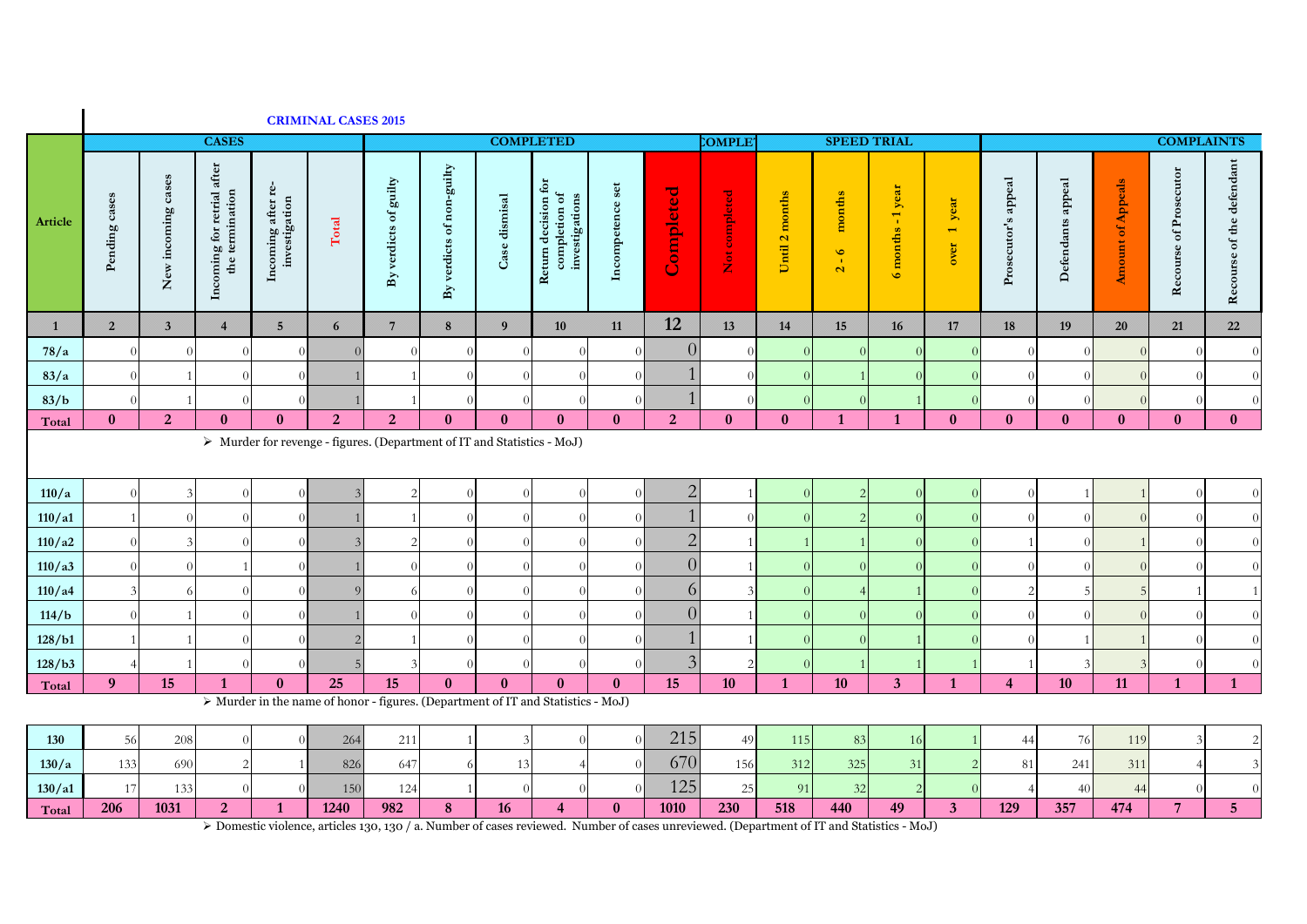|               |                |                         |                                               |                                               | <b>CRIMINAL CASES 2015</b>                                                             |                       |                                        |                                                                          |                                                                              |                  |                           |               |                |                   |                                              |                              |                     |                   |                          |                        |                           |
|---------------|----------------|-------------------------|-----------------------------------------------|-----------------------------------------------|----------------------------------------------------------------------------------------|-----------------------|----------------------------------------|--------------------------------------------------------------------------|------------------------------------------------------------------------------|------------------|---------------------------|---------------|----------------|-------------------|----------------------------------------------|------------------------------|---------------------|-------------------|--------------------------|------------------------|---------------------------|
|               |                |                         | <b>CASES</b>                                  |                                               |                                                                                        |                       |                                        | <b>COMPLETED</b>                                                         |                                                                              |                  |                           | <b>COMPLE</b> |                |                   | <b>SPEED TRIAL</b>                           |                              |                     |                   |                          | <b>COMPLAINTS</b>      |                           |
| Article       | Pending cases  | New incoming cases      | Incoming for retrial after<br>the termination | Incoming after re-<br>investigation           | $\rm Total$                                                                            | By verdicts of guilty | verdicts of non-guilty<br>$\mathbf{B}$ | Case dismisal                                                            | $\ddot{\mathbf{e}}$<br>Return decision fo<br>completion of<br>investigations | Incompetence set | Completed                 | Not completed | Until 2 months | months<br>$2 - 6$ | 6 months - 1 year                            | year<br>$\leftarrow$<br>over | Prosecutor's appeal | Defendants appeal | <b>Amount of Appeals</b> | Recourse of Prosecutor | Recourse of the defendant |
| $\mathbf{1}$  | $\overline{2}$ | $\overline{\mathbf{3}}$ | $\overline{4}$                                | $\overline{5}$                                | $6\overline{6}$                                                                        | $\overline{7}$        | 8                                      | $\overline{9}$                                                           | 10                                                                           | 11               | 12                        | 13            | 14             | 15                | 16                                           | 17                           | 18                  | 19                | $20\,$                   | 21                     | 22                        |
| 78/a          |                |                         | $\sqrt{ }$                                    | $\Omega$                                      | $\Omega$                                                                               |                       |                                        |                                                                          | $\Omega$                                                                     |                  | $\overline{0}$            |               |                |                   |                                              |                              |                     |                   | $\Omega$                 |                        | $\Omega$                  |
| 83/a          |                |                         | $\sqrt{ }$                                    | $\theta$                                      |                                                                                        |                       |                                        |                                                                          | $\Omega$                                                                     |                  |                           |               |                |                   |                                              |                              | - 0                 |                   |                          |                        |                           |
| 83/b<br>Total | $\mathbf{0}$   | $\overline{2}$          | $\mathbf{0}$                                  | $\bf{0}$                                      | 2                                                                                      | 2 <sup>1</sup>        | $\bf{0}$                               | $\mathbf{0}$                                                             | $\bf{0}$                                                                     | $\mathbf{0}$     | 2 <sup>1</sup>            | $\bf{0}$      | $\bf{0}$       | $\mathbf{1}$      | $\mathbf{1}$                                 | $\bf{0}$                     | $\bf{0}$            | $\mathbf{0}$      | $\bf{0}$                 | $\bf{0}$               | $\mathbf{0}$              |
|               |                |                         |                                               |                                               | > Murder for revenge - figures. (Department of IT and Statistics - MoJ)                |                       |                                        |                                                                          |                                                                              |                  |                           |               |                |                   |                                              |                              |                     |                   |                          |                        |                           |
|               |                |                         |                                               |                                               |                                                                                        |                       |                                        |                                                                          |                                                                              |                  |                           |               |                |                   |                                              |                              |                     |                   |                          |                        |                           |
| 110/a         |                |                         | $\sqrt{ }$                                    | $\theta$                                      | 3                                                                                      | $\overline{c}$        |                                        | $\Omega$                                                                 | $\Omega$                                                                     |                  | $\overline{2}$            |               |                | $\overline{2}$    |                                              |                              | $\sqrt{ }$          |                   |                          |                        | $\Omega$                  |
| 110/a1        |                |                         |                                               | $\Omega$                                      |                                                                                        |                       |                                        |                                                                          |                                                                              |                  |                           |               |                | $\overline{2}$    |                                              |                              |                     |                   |                          |                        | $\Omega$                  |
| 110/a2        |                |                         |                                               | $\Omega$                                      |                                                                                        |                       |                                        |                                                                          |                                                                              |                  | $\overline{2}$            |               |                |                   |                                              |                              |                     |                   |                          |                        | $\Omega$                  |
| 110/a3        |                |                         |                                               | $\Omega$                                      |                                                                                        |                       |                                        |                                                                          |                                                                              |                  | $\overline{0}$            |               |                | $\overline{0}$    |                                              |                              |                     |                   |                          |                        |                           |
| 110/a4        |                |                         |                                               | $\Omega$                                      |                                                                                        |                       |                                        |                                                                          | $\Omega$                                                                     |                  | 6                         |               |                |                   |                                              |                              |                     |                   | 5                        |                        |                           |
| 114/b         |                |                         |                                               | $\Omega$                                      |                                                                                        |                       |                                        |                                                                          |                                                                              |                  | $\overline{0}$            |               |                | $\overline{0}$    |                                              |                              |                     |                   | $\Omega$                 |                        |                           |
| 128/b1        |                |                         |                                               | $\theta$                                      | $\overline{2}$                                                                         |                       |                                        |                                                                          | $\Omega$                                                                     |                  |                           |               |                | $\overline{0}$    |                                              |                              |                     |                   |                          |                        |                           |
| 128/b3        |                |                         |                                               | $\Omega$                                      | .5                                                                                     |                       |                                        |                                                                          | $\Omega$                                                                     |                  | $\overline{3}$            |               |                |                   |                                              |                              |                     |                   | 3                        |                        |                           |
| Total         | 9 <sup>°</sup> | 15                      | $\mathbf{1}$                                  | $\mathbf{0}$                                  | 25<br>> Murder in the name of honor - figures. (Department of IT and Statistics - MoJ) | 15                    | $\mathbf{0}$                           | $\mathbf{0}$                                                             | $\bf{0}$                                                                     | $\mathbf{0}$     | 15                        | 10            | $\mathbf{1}$   | 10                | $\mathbf{3}$                                 | $\mathbf{1}$                 | $\overline{4}$      | 10                | 11                       | $\mathbf{1}$           | $\mathbf{1}$              |
|               |                |                         |                                               |                                               |                                                                                        |                       |                                        |                                                                          |                                                                              |                  |                           |               |                |                   |                                              |                              |                     |                   |                          |                        |                           |
| 130           | 56             | 208                     | $\Omega$                                      | $\overline{0}$                                | 264                                                                                    | 211                   |                                        | 3                                                                        | $\Omega$                                                                     | $\Omega$         | 215                       | 49            | 115            | 83                | 16                                           |                              | 44                  | 76                | 119                      |                        | $\overline{2}$            |
| 130/a         | 133            | 690                     | $\overline{2}$                                | $\overline{1}$                                | 826                                                                                    | 647                   |                                        | 13                                                                       |                                                                              |                  | 670                       | 156           | 312            | 325               | 31                                           |                              | 81                  | 241               | 311                      |                        |                           |
| 130/a1        | 17             | 133                     | $\sqrt{ }$                                    | $\theta$                                      | 150                                                                                    | 124                   |                                        | $\Omega$                                                                 | $\Omega$                                                                     |                  | 125                       | 25            | 91             | 32                |                                              |                              |                     | 40                | 44                       |                        |                           |
| Total         | 206            | 1031                    | $\overline{2}$                                | $\mathbf{1}$<br>$\mathbb{R}$ Demonto Stelland | 1240                                                                                   | 982                   | ${\bf 8}$                              | 16<br>ential expansion of a Number of excess nection of Number of excess | $\overline{\mathbf{4}}$                                                      | $\boldsymbol{0}$ | 1010<br>الممائد والمستحدث | 230           | 518            | 440               | 49<br>al (Department of Proof Obstation Me D | $\overline{\mathbf{3}}$      | 129                 | 357               | 474                      | $\overline{7}$         | 5 <sub>5</sub>            |

Domestic violence, articles 130, 130 / a. Number of cases reviewed. Number of cases unreviewed. (Department of IT and Statistics - MoJ)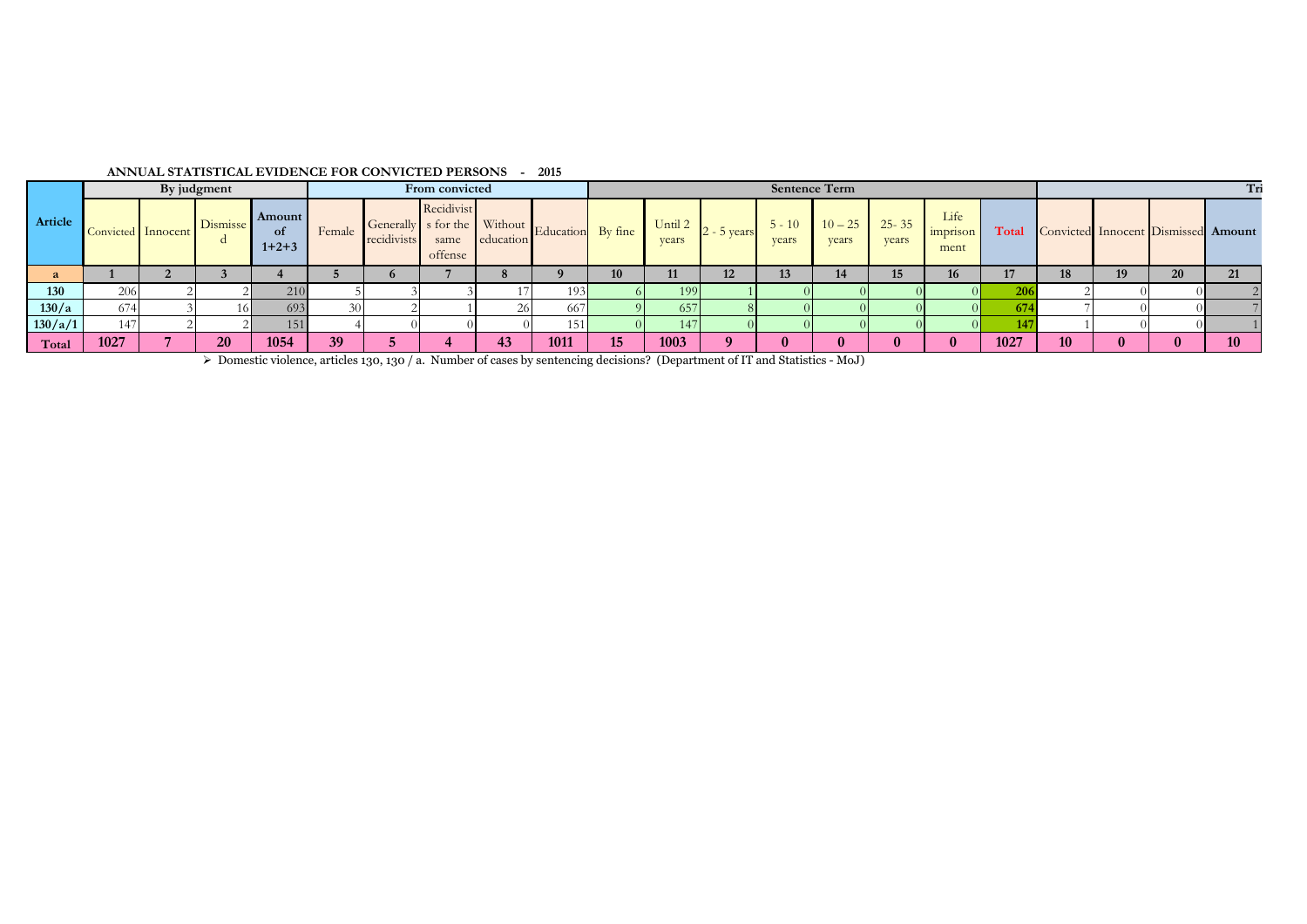|         |                    | By judgment |                 |                                  |        |             | From convicted                |           |                                               |     |                  |               |                   | <b>Sentence Term</b> |                    |                          |       |    |    |                                     |
|---------|--------------------|-------------|-----------------|----------------------------------|--------|-------------|-------------------------------|-----------|-----------------------------------------------|-----|------------------|---------------|-------------------|----------------------|--------------------|--------------------------|-------|----|----|-------------------------------------|
| Article | Convicted Innocent |             | <b>Dismisse</b> | <b>Amount</b><br>- of<br>$1+2+3$ | Female | recidivists | Recidivist<br>same<br>offense | education | Generally s for the Without Education By fine |     | Until 2<br>years | $2 - 5$ years | $5 - 10$<br>years | $10 - 25$<br>years   | $25 - 35$<br>years | Life<br>imprison<br>ment | Total |    |    | Convicted Innocent Dismissed Amount |
|         |                    |             |                 |                                  |        |             |                               |           |                                               | 1V. |                  | 12            |                   |                      | 15                 | ю                        |       | 19 | ΖU | 21                                  |
| 130     | 20 <sub>C</sub>    |             |                 | 210                              |        |             |                               |           | 193'                                          |     | 199              |               |                   |                      |                    |                          |       |    |    |                                     |
| 130/a   |                    |             | 16 L            | 693                              |        |             |                               | 26        | 66                                            |     | 557              |               |                   |                      |                    |                          |       |    |    |                                     |
| 130/a/1 | $\overline{4}$     |             |                 | 151                              |        |             |                               |           | 151                                           |     |                  |               |                   |                      |                    |                          |       |    |    |                                     |
| Total   | 1027               |             | 20              | 1054                             | 39     |             |                               | 43        | 1011                                          | 15  | 1003             |               |                   |                      |                    |                          | 1027  |    |    | 10                                  |

## **ANNUAL STATISTICAL EVIDENCE FOR CONVICTED PERSONS - 2015**

Domestic violence, articles 130, 130 / a. Number of cases by sentencing decisions? (Department of IT and Statistics - MoJ)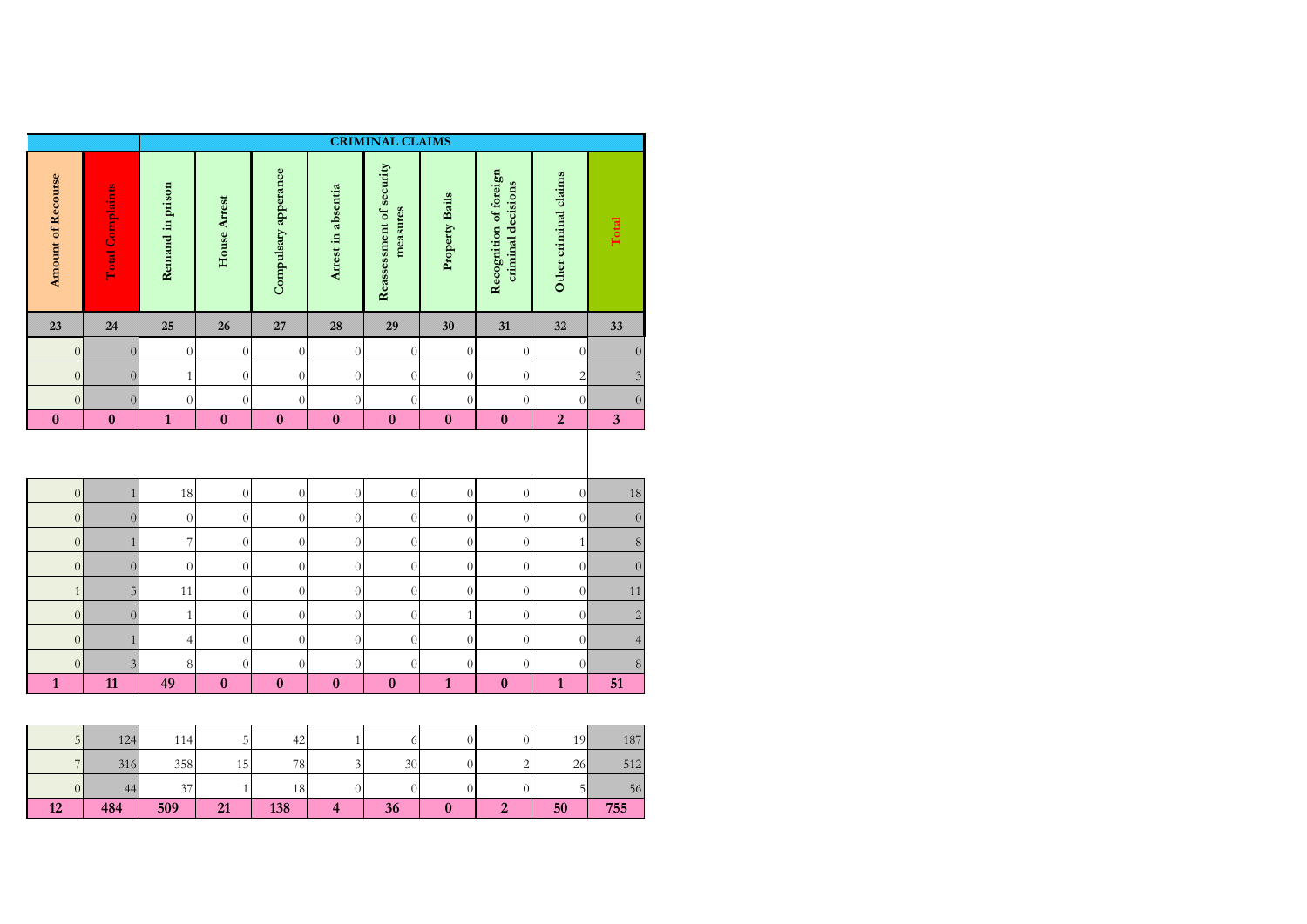|                    |                         |                          |                  |                      |                    | <b>CRIMINAL CLAIMS</b>               |                  |                                              |                       |                         |
|--------------------|-------------------------|--------------------------|------------------|----------------------|--------------------|--------------------------------------|------------------|----------------------------------------------|-----------------------|-------------------------|
| Amount of Recourse | <b>Total Complaints</b> | Remand in prison         | House Arrest     | Compulsary apperance | Arrest in absentia | Reassessment of security<br>measures | Property Bails   | Recognition of foreign<br>criminal decisions | Other criminal claims | Total                   |
| 23                 | 24                      | 25                       | 26               | 27                   | 28                 | 29                                   | 30               | 31                                           | 32                    | 33                      |
| $\overline{0}$     | $\overline{0}$          | $\overline{0}$           | $\theta$         | $\overline{0}$       | $\overline{0}$     | $\boldsymbol{0}$                     | $\overline{0}$   | $\theta$                                     | $\overline{0}$        | $\boldsymbol{0}$        |
| $\overline{0}$     | $\overline{0}$          | $\mathbf{1}$             | $\theta$         | $\boldsymbol{0}$     | $\overline{0}$     | $\boldsymbol{0}$                     | $\overline{0}$   | $\theta$                                     | $\sqrt{2}$            | $\mathfrak z$           |
| $\boldsymbol{0}$   | $\overline{0}$          | $\theta$                 | $\theta$         | $\boldsymbol{0}$     | $\boldsymbol{0}$   | $\overline{0}$                       | $\boldsymbol{0}$ | $\overline{0}$                               | $\boldsymbol{0}$      | $\boldsymbol{0}$        |
| $\bf{0}$           | $\boldsymbol{0}$        | $\mathbf{1}$             | $\bf{0}$         | $\bf{0}$             | $\bf{0}$           | $\boldsymbol{0}$                     | $\boldsymbol{0}$ | $\boldsymbol{0}$                             | $\overline{2}$        | $\overline{\mathbf{3}}$ |
| $\boldsymbol{0}$   | $\mathbf{1}$            | 18                       | $\boldsymbol{0}$ | $\boldsymbol{0}$     | $\boldsymbol{0}$   | $\boldsymbol{0}$                     | $\boldsymbol{0}$ | $\boldsymbol{0}$                             | $\boldsymbol{0}$      | $18\,$                  |
| $\overline{0}$     | $\overline{0}$          | $\overline{0}$           | $\theta$         | $\boldsymbol{0}$     | $\overline{0}$     | $\overline{0}$                       | $\overline{0}$   | $\overline{0}$                               | $\boldsymbol{0}$      | $\boldsymbol{0}$        |
| $\overline{0}$     | $\mathbf{1}$            | $\overline{\phantom{a}}$ | $\boldsymbol{0}$ | $\boldsymbol{0}$     | $\boldsymbol{0}$   | $\overline{0}$                       | $\overline{0}$   | $\boldsymbol{0}$                             | $\mathbf{1}$          | $\,8\,$                 |
| $\overline{0}$     | $\overline{0}$          | $\overline{0}$           | $\boldsymbol{0}$ | $\boldsymbol{0}$     | $\overline{0}$     | $\overline{0}$                       | $\boldsymbol{0}$ | $\theta$                                     | $\overline{0}$        | $\boldsymbol{0}$        |
| $\mathbf{1}$       | $\overline{5}$          | 11                       | $\boldsymbol{0}$ | $\boldsymbol{0}$     | $\boldsymbol{0}$   | $\boldsymbol{0}$                     | $\overline{0}$   | $\boldsymbol{0}$                             | $\boldsymbol{0}$      | 11                      |
| $\boldsymbol{0}$   | $\overline{0}$          | $\mathbf{1}$             | $\boldsymbol{0}$ | $\boldsymbol{0}$     | $\theta$           | $\overline{0}$                       | $1\,$            | $\overline{0}$                               | $\boldsymbol{0}$      | $\overline{c}$          |
|                    |                         |                          |                  |                      |                    |                                      |                  |                                              |                       |                         |
| $\overline{0}$     | $\mathbf{1}$            | $\overline{4}$           | $\theta$         | $\boldsymbol{0}$     | $\overline{0}$     | $\overline{0}$                       | $\overline{0}$   | $\theta$                                     | $\overline{0}$        | $\overline{4}$          |
| $\boldsymbol{0}$   | $\overline{\mathbf{3}}$ | 8                        | $\overline{0}$   | $\boldsymbol{0}$     | $\boldsymbol{0}$   | $\overline{0}$                       | $\overline{0}$   | $\overline{0}$                               | $\boldsymbol{0}$      | $\,8\,$                 |

| -<br>$\overline{C}$ | 124 | 114    |    | 42  |    |        | 10h | 187 |
|---------------------|-----|--------|----|-----|----|--------|-----|-----|
| $\overline{ }$      | 316 | 358    | 15 | 78  | 30 | ⌒<br>- | 26  | 512 |
| UΙ                  | 44  | $\sim$ |    | 18  |    |        |     | 56  |
| 12                  | 484 | 509    | 21 | 138 | 36 |        | 50  | 755 |